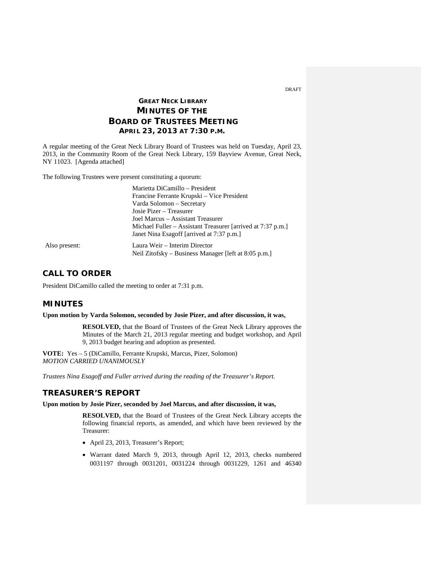# **GREAT NECK LIBRARY MINUTES OF THE BOARD OF TRUSTEES MEETING APRIL 23, 2013 AT 7:30 P.M.**

A regular meeting of the Great Neck Library Board of Trustees was held on Tuesday, April 23, 2013, in the Community Room of the Great Neck Library, 159 Bayview Avenue, Great Neck, NY 11023. [Agenda attached]

The following Trustees were present constituting a quorum:

|               | Marietta DiCamillo - President                              |
|---------------|-------------------------------------------------------------|
|               | Francine Ferrante Krupski – Vice President                  |
|               | Varda Solomon - Secretary                                   |
|               | Josie Pizer – Treasurer                                     |
|               | Joel Marcus – Assistant Treasurer                           |
|               | Michael Fuller – Assistant Treasurer [arrived at 7:37 p.m.] |
|               | Janet Nina Esagoff [arrived at 7:37 p.m.]                   |
| Also present: | Laura Weir – Interim Director                               |
|               | Neil Zitofsky – Business Manager [left at 8:05 p.m.]        |

# **CALL TO ORDER**

President DiCamillo called the meeting to order at 7:31 p.m.

# **MINUTES**

**Upon motion by Varda Solomon, seconded by Josie Pizer, and after discussion, it was,**

**RESOLVED,** that the Board of Trustees of the Great Neck Library approves the Minutes of the March 21, 2013 regular meeting and budget workshop, and April 9, 2013 budget hearing and adoption as presented.

**VOTE:** Yes – 5 (DiCamillo, Ferrante Krupski, Marcus, Pizer, Solomon) *MOTION CARRIED UNANIMOUSLY* 

*Trustees Nina Esagoff and Fuller arrived during the reading of the Treasurer's Report.*

# **TREASURER'S REPORT**

**Upon motion by Josie Pizer, seconded by Joel Marcus, and after discussion, it was,**

**RESOLVED,** that the Board of Trustees of the Great Neck Library accepts the following financial reports, as amended, and which have been reviewed by the Treasurer:

- April 23, 2013, Treasurer's Report;
- Warrant dated March 9, 2013, through April 12, 2013, checks numbered 0031197 through 0031201, 0031224 through 0031229, 1261 and 46340

DRAFT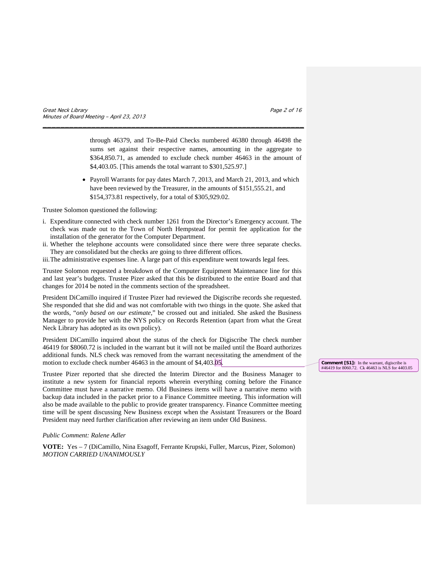Great Neck Library **Page 2 of 16** Service 2 of 16 Service 2 of 16 Service 2 of 16 Service 2 of 16 Service 2 of 16 Service 2 of 16 Service 2 of 16 Service 2 of 16 Service 2 of 16 Service 2 of 16 Service 2 of 16 Service 2 of Minutes of Board Meeting – April 23, 2013

through 46379, and To-Be-Paid Checks numbered 46380 through 46498 the sums set against their respective names, amounting in the aggregate to \$364,850.71, as amended to exclude check number 46463 in the amount of \$4,403.05. [This amends the total warrant to \$301,525.97.]

• Payroll Warrants for pay dates March 7, 2013, and March 21, 2013, and which have been reviewed by the Treasurer, in the amounts of \$151,555.21, and \$154,373.81 respectively, for a total of \$305,929.02.

Trustee Solomon questioned the following:

i. Expenditure connected with check number 1261 from the Director's Emergency account. The check was made out to the Town of North Hempstead for permit fee application for the installation of the generator for the Computer Department.

\_\_\_\_\_\_\_\_\_\_\_\_\_\_\_\_\_\_\_\_\_\_\_\_\_\_\_\_\_\_\_\_\_\_\_\_\_\_\_\_\_\_\_\_\_\_\_\_\_\_\_\_\_\_\_\_\_\_\_

ii. Whether the telephone accounts were consolidated since there were three separate checks. They are consolidated but the checks are going to three different offices.

iii.The administrative expenses line. A large part of this expenditure went towards legal fees.

Trustee Solomon requested a breakdown of the Computer Equipment Maintenance line for this and last year's budgets. Trustee Pizer asked that this be distributed to the entire Board and that changes for 2014 be noted in the comments section of the spreadsheet.

President DiCamillo inquired if Trustee Pizer had reviewed the Digiscribe records she requested. She responded that she did and was not comfortable with two things in the quote. She asked that the words, "*only based on our estimate*," be crossed out and initialed. She asked the Business Manager to provide her with the NYS policy on Records Retention (apart from what the Great Neck Library has adopted as its own policy).

President DiCamillo inquired about the status of the check for Digiscribe The check number 46419 for \$8060.72 is included in the warrant but it will not be mailed until the Board authorizes additional funds. NLS check was removed from the warrant necessitating the amendment of the motion to exclude check number 46463 in the amount of \$4,403.05.

Trustee Pizer reported that she directed the Interim Director and the Business Manager to institute a new system for financial reports wherein everything coming before the Finance Committee must have a narrative memo. Old Business items will have a narrative memo with backup data included in the packet prior to a Finance Committee meeting. This information will also be made available to the public to provide greater transparency. Finance Committee meeting time will be spent discussing New Business except when the Assistant Treasurers or the Board President may need further clarification after reviewing an item under Old Business.

#### *Public Comment: Ralene Adler*

**VOTE:** Yes – 7 (DiCamillo, Nina Esagoff, Ferrante Krupski, Fuller, Marcus, Pizer, Solomon) *MOTION CARRIED UNANIMOUSLY*

**Comment [S1]:** In the warrant, digiscribe is #46419 for 8060.72. Ck 46463 is NLS for 4403.05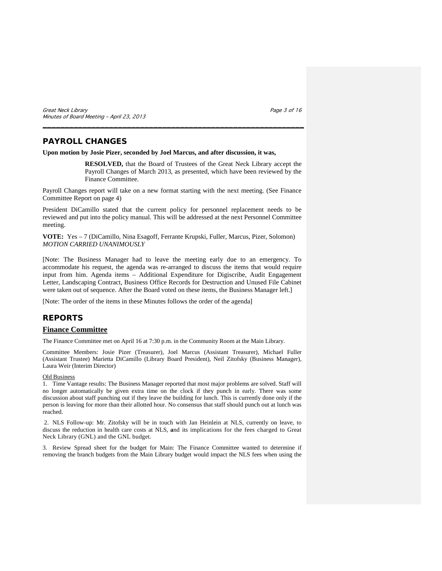Great Neck Library **Page 3 of 16** Services **Page 3 of 16** Services **Page 3 of 16** Services **Page 3 of 16** Minutes of Board Meeting – April 23, 2013

# **PAYROLL CHANGES**

### **Upon motion by Josie Pizer, seconded by Joel Marcus, and after discussion, it was,**

**RESOLVED,** that the Board of Trustees of the Great Neck Library accept the Payroll Changes of March 2013, as presented, which have been reviewed by the Finance Committee.

Payroll Changes report will take on a new format starting with the next meeting. (See Finance Committee Report on page 4)

\_\_\_\_\_\_\_\_\_\_\_\_\_\_\_\_\_\_\_\_\_\_\_\_\_\_\_\_\_\_\_\_\_\_\_\_\_\_\_\_\_\_\_\_\_\_\_\_\_\_\_\_\_\_\_\_\_\_\_

President DiCamillo stated that the current policy for personnel replacement needs to be reviewed and put into the policy manual. This will be addressed at the next Personnel Committee meeting.

**VOTE:** Yes – 7 (DiCamillo, Nina Esagoff, Ferrante Krupski, Fuller, Marcus, Pizer, Solomon) *MOTION CARRIED UNANIMOUSLY*

[Note: The Business Manager had to leave the meeting early due to an emergency. To accommodate his request, the agenda was re-arranged to discuss the items that would require input from him. Agenda items – Additional Expenditure for Digiscribe, Audit Engagement Letter, Landscaping Contract, Business Office Records for Destruction and Unused File Cabinet were taken out of sequence. After the Board voted on these items, the Business Manager left.]

[Note: The order of the items in these Minutes follows the order of the agenda]

# **REPORTS**

# **Finance Committee**

The Finance Committee met on April 16 at 7:30 p.m. in the Community Room at the Main Library.

Committee Members: Josie Pizer (Treasurer), Joel Marcus (Assistant Treasurer), Michael Fuller (Assistant Trustee) Marietta DiCamillo (Library Board President), Neil Zitofsky (Business Manager), Laura Weir (Interim Director)

#### Old Business

1. Time Vantage results: The Business Manager reported that most major problems are solved. Staff will no longer automatically be given extra time on the clock if they punch in early. There was some discussion about staff punching out if they leave the building for lunch. This is currently done only if the person is leaving for more than their allotted hour. No consensus that staff should punch out at lunch was reached.

2. NLS Follow-up: Mr. Zitofsky will be in touch with Jan Heinlein at NLS, currently on leave, to discuss the reduction in health care costs at NLS, **a**nd its implications for the fees charged to Great Neck Library (GNL) and the GNL budget.

3. Review Spread sheet for the budget for Main: The Finance Committee wanted to determine if removing the branch budgets from the Main Library budget would impact the NLS fees when using the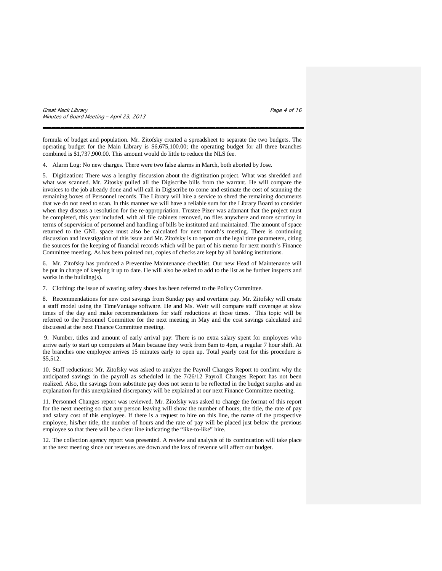Great Neck Library **Page 4 of 16** Services **Page 4 of 16** Services **Page 4 of 16** Services **Page 4 of 16** Minutes of Board Meeting – April 23, 2013

formula of budget and population. Mr. Zitofsky created a spreadsheet to separate the two budgets. The operating budget for the Main Library is \$6,675,100.00; the operating budget for all three branches combined is \$1,737,900.00. This amount would do little to reduce the NLS fee.

\_\_\_\_\_\_\_\_\_\_\_\_\_\_\_\_\_\_\_\_\_\_\_\_\_\_\_\_\_\_\_\_\_\_\_\_\_\_\_\_\_\_\_\_\_\_\_\_\_\_\_\_\_\_\_\_\_\_\_

4. Alarm Log: No new charges. There were two false alarms in March, both aborted by Jose.

5. Digitization: There was a lengthy discussion about the digitization project. What was shredded and what was scanned. Mr. Zitosky pulled all the Digiscribe bills from the warrant. He will compare the invoices to the job already done and will call in Digiscribe to come and estimate the cost of scanning the remaining boxes of Personnel records. The Library will hire a service to shred the remaining documents that we do not need to scan. In this manner we will have a reliable sum for the Library Board to consider when they discuss a resolution for the re-appropriation. Trustee Pizer was adamant that the project must be completed, this year included, with all file cabinets removed, no files anywhere and more scrutiny in terms of supervision of personnel and handling of bills be instituted and maintained. The amount of space returned to the GNL space must also be calculated for next month's meeting. There is continuing discussion and investigation of this issue and Mr. Zitofsky is to report on the legal time parameters, citing the sources for the keeping of financial records which will be part of his memo for next month's Finance Committee meeting. As has been pointed out, copies of checks are kept by all banking institutions.

6. Mr. Zitofsky has produced a Preventive Maintenance checklist. Our new Head of Maintenance will be put in charge of keeping it up to date. He will also be asked to add to the list as he further inspects and works in the building(s).

7. Clothing: the issue of wearing safety shoes has been referred to the Policy Committee.

8. Recommendations for new cost savings from Sunday pay and overtime pay. Mr. Zitofsky will create a staff model using the TimeVantage software. He and Ms. Weir will compare staff coverage at slow times of the day and make recommendations for staff reductions at those times. This topic will be referred to the Personnel Committee for the next meeting in May and the cost savings calculated and discussed at the next Finance Committee meeting.

9. Number, titles and amount of early arrival pay: There is no extra salary spent for employees who arrive early to start up computers at Main because they work from 8am to 4pm, a regular 7 hour shift. At the branches one employee arrives 15 minutes early to open up. Total yearly cost for this procedure is \$5,512.

10. Staff reductions: Mr. Zitofsky was asked to analyze the Payroll Changes Report to confirm why the anticipated savings in the payroll as scheduled in the 7/26/12 Payroll Changes Report has not been realized. Also, the savings from substitute pay does not seem to be reflected in the budget surplus and an explanation for this unexplained discrepancy will be explained at our next Finance Committee meeting.

11. Personnel Changes report was reviewed. Mr. Zitofsky was asked to change the format of this report for the next meeting so that any person leaving will show the number of hours, the title, the rate of pay and salary cost of this employee. If there is a request to hire on this line, the name of the prospective employee, his/her title, the number of hours and the rate of pay will be placed just below the previous employee so that there will be a clear line indicating the "like-to-like" hire.

12. The collection agency report was presented. A review and analysis of its continuation will take place at the next meeting since our revenues are down and the loss of revenue will affect our budget.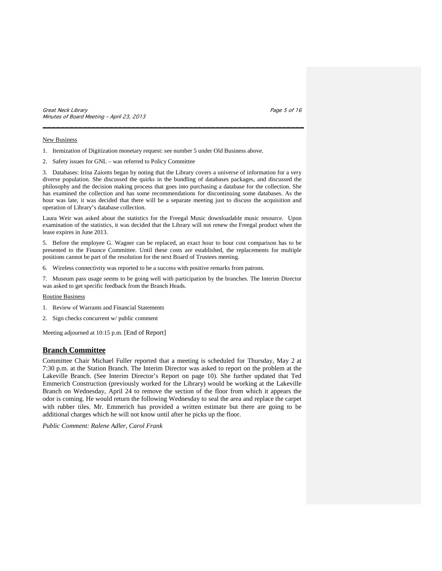Great Neck Library **Page 5 of 16** and the set of 16 and the set of 16 and the set of 16 and the set of 16 and the set of 16 and the set of 16 and the set of 16 and the set of 16 and the set of 16 and the set of 16 and the Minutes of Board Meeting – April 23, 2013

#### New Business

- 1. Itemization of Digitization monetary request: see number 5 under Old Business above.
- 2. Safety issues for GNL was referred to Policy Committee

3. Databases: Irina Zaionts began by noting that the Library covers a universe of information for a very diverse population. She discussed the quirks in the bundling of databases packages, and discussed the philosophy and the decision making process that goes into purchasing a database for the collection. She has examined the collection and has some recommendations for discontinuing some databases. As the hour was late, it was decided that there will be a separate meeting just to discuss the acquisition and operation of Library's database collection.

\_\_\_\_\_\_\_\_\_\_\_\_\_\_\_\_\_\_\_\_\_\_\_\_\_\_\_\_\_\_\_\_\_\_\_\_\_\_\_\_\_\_\_\_\_\_\_\_\_\_\_\_\_\_\_\_\_\_\_

Laura Weir was asked about the statistics for the Freegal Music downloadable music resource. Upon examination of the statistics, it was decided that the Library will not renew the Freegal product when the lease expires in June 2013.

5. Before the employee G. Wagner can be replaced, an exact hour to hour cost comparison has to be presented to the Finance Committee. Until these costs are established, the replacements for multiple positions cannot be part of the resolution for the next Board of Trustees meeting.

6. Wireless connectivity was reported to be a success with positive remarks from patrons.

7. Museum pass usage seems to be going well with participation by the branches. The Interim Director was asked to get specific feedback from the Branch Heads.

#### Routine Business

- 1. Review of Warrants and Financial Statements
- 2. Sign checks concurrent w/ public comment

Meeting adjourned at 10:15 p.m. [End of Report]

### **Branch Committee**

Committee Chair Michael Fuller reported that a meeting is scheduled for Thursday, May 2 at 7:30 p.m. at the Station Branch. The Interim Director was asked to report on the problem at the Lakeville Branch. (See Interim Director's Report on page 10). She further updated that Ted Emmerich Construction (previously worked for the Library) would be working at the Lakeville Branch on Wednesday, April 24 to remove the section of the floor from which it appears the odor is coming. He would return the following Wednesday to seal the area and replace the carpet with rubber tiles. Mr. Emmerich has provided a written estimate but there are going to be additional charges which he will not know until after he picks up the floor.

*Public Comment: Ralene Adler, Carol Frank*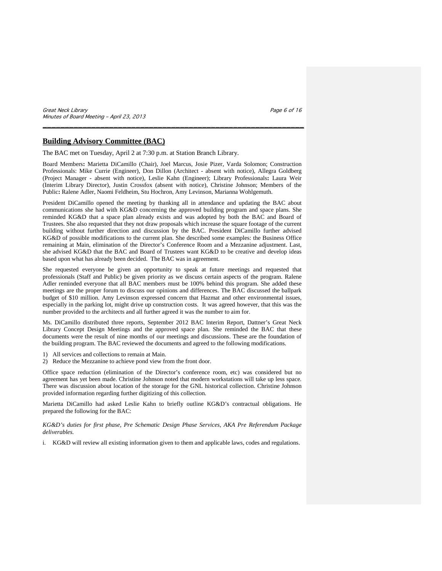Great Neck Library **Page 6 of 16** and the set of 16 and the set of 16 and the set of 16 and the set of 16 and the set of 16 and the set of 16 and the set of 16 and the set of 16 and the set of 16 and the set of 16 and the Minutes of Board Meeting – April 23, 2013

## **Building Advisory Committee (BAC)**

The BAC met on Tuesday, April 2 at 7:30 p.m. at Station Branch Library.

Board Members**:** Marietta DiCamillo (Chair), Joel Marcus, Josie Pizer, Varda Solomon; Construction Professionals: Mike Currie (Engineer), Don Dillon (Architect - absent with notice), Allegra Goldberg (Project Manager - absent with notice), Leslie Kahn (Engineer); Library Professionals**:** Laura Weir (Interim Library Director), Justin Crossfox (absent with notice), Christine Johnson; Members of the Public**:** Ralene Adler, Naomi Feldheim, Stu Hochron, Amy Levinson, Marianna Wohlgemuth.

\_\_\_\_\_\_\_\_\_\_\_\_\_\_\_\_\_\_\_\_\_\_\_\_\_\_\_\_\_\_\_\_\_\_\_\_\_\_\_\_\_\_\_\_\_\_\_\_\_\_\_\_\_\_\_\_\_\_\_

President DiCamillo opened the meeting by thanking all in attendance and updating the BAC about communications she had with KG&D concerning the approved building program and space plans. She reminded KG&D that a space plan already exists and was adopted by both the BAC and Board of Trustees. She also requested that they not draw proposals which increase the square footage of the current building without further direction and discussion by the BAC. President DiCamillo further advised KG&D of possible modifications to the current plan. She described some examples: the Business Office remaining at Main, elimination of the Director's Conference Room and a Mezzanine adjustment. Last, she advised KG&D that the BAC and Board of Trustees want KG&D to be creative and develop ideas based upon what has already been decided. The BAC was in agreement.

She requested everyone be given an opportunity to speak at future meetings and requested that professionals (Staff and Public) be given priority as we discuss certain aspects of the program. Ralene Adler reminded everyone that all BAC members must be 100% behind this program. She added these meetings are the proper forum to discuss our opinions and differences. The BAC discussed the ballpark budget of \$10 million. Amy Levinson expressed concern that Hazmat and other environmental issues, especially in the parking lot, might drive up construction costs. It was agreed however, that this was the number provided to the architects and all further agreed it was the number to aim for.

Ms. DiCamillo distributed three reports, September 2012 BAC Interim Report, Dattner's Great Neck Library Concept Design Meetings and the approved space plan. She reminded the BAC that these documents were the result of nine months of our meetings and discussions. These are the foundation of the building program. The BAC reviewed the documents and agreed to the following modifications.

- 1) All services and collections to remain at Main.
- 2) Reduce the Mezzanine to achieve pond view from the front door.

Office space reduction (elimination of the Director's conference room, etc) was considered but no agreement has yet been made. Christine Johnson noted that modern workstations will take up less space. There was discussion about location of the storage for the GNL historical collection. Christine Johnson provided information regarding further digitizing of this collection.

Marietta DiCamillo had asked Leslie Kahn to briefly outline KG&D's contractual obligations. He prepared the following for the BAC:

*KG&D's duties for first phase, Pre Schematic Design Phase Services, AKA Pre Referendum Package deliverables.*

i. KG&D will review all existing information given to them and applicable laws, codes and regulations.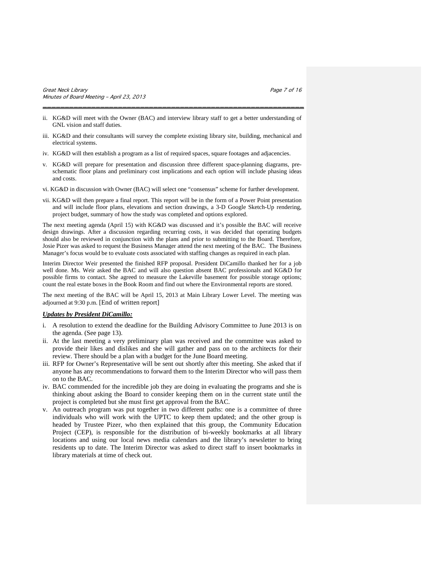ii. KG&D will meet with the Owner (BAC) and interview library staff to get a better understanding of GNL vision and staff duties.

\_\_\_\_\_\_\_\_\_\_\_\_\_\_\_\_\_\_\_\_\_\_\_\_\_\_\_\_\_\_\_\_\_\_\_\_\_\_\_\_\_\_\_\_\_\_\_\_\_\_\_\_\_\_\_\_\_\_\_

- iii. KG&D and their consultants will survey the complete existing library site, building, mechanical and electrical systems.
- iv. KG&D will then establish a program as a list of required spaces, square footages and adjacencies.
- v. KG&D will prepare for presentation and discussion three different space-planning diagrams, preschematic floor plans and preliminary cost implications and each option will include phasing ideas and costs.
- vi. KG&D in discussion with Owner (BAC) will select one "consensus" scheme for further development.
- vii. KG&D will then prepare a final report. This report will be in the form of a Power Point presentation and will include floor plans, elevations and section drawings, a 3-D Google Sketch-Up rendering, project budget, summary of how the study was completed and options explored.

The next meeting agenda (April 15) with KG&D was discussed and it's possible the BAC will receive design drawings. After a discussion regarding recurring costs, it was decided that operating budgets should also be reviewed in conjunction with the plans and prior to submitting to the Board. Therefore, Josie Pizer was asked to request the Business Manager attend the next meeting of the BAC. The Business Manager's focus would be to evaluate costs associated with staffing changes as required in each plan.

Interim Director Weir presented the finished RFP proposal. President DiCamillo thanked her for a job well done. Ms. Weir asked the BAC and will also question absent BAC professionals and KG&D for possible firms to contact. She agreed to measure the Lakeville basement for possible storage options; count the real estate boxes in the Book Room and find out where the Environmental reports are stored.

The next meeting of the BAC will be April 15, 2013 at Main Library Lower Level. The meeting was adjourned at 9:30 p.m. [End of written report]

# *Updates by President DiCamillo:*

- i. A resolution to extend the deadline for the Building Advisory Committee to June 2013 is on the agenda. (See page 13).
- ii. At the last meeting a very preliminary plan was received and the committee was asked to provide their likes and dislikes and she will gather and pass on to the architects for their review. There should be a plan with a budget for the June Board meeting.
- iii. RFP for Owner's Representative will be sent out shortly after this meeting. She asked that if anyone has any recommendations to forward them to the Interim Director who will pass them on to the BAC.
- iv. BAC commended for the incredible job they are doing in evaluating the programs and she is thinking about asking the Board to consider keeping them on in the current state until the project is completed but she must first get approval from the BAC.
- v. An outreach program was put together in two different paths: one is a committee of three individuals who will work with the UPTC to keep them updated; and the other group is headed by Trustee Pizer, who then explained that this group, the Community Education Project (CEP), is responsible for the distribution of bi-weekly bookmarks at all library locations and using our local news media calendars and the library's newsletter to bring residents up to date. The Interim Director was asked to direct staff to insert bookmarks in library materials at time of check out.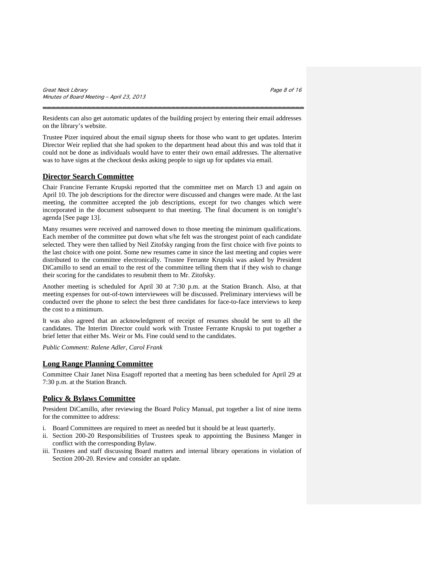Residents can also get automatic updates of the building project by entering their email addresses on the library's website.

\_\_\_\_\_\_\_\_\_\_\_\_\_\_\_\_\_\_\_\_\_\_\_\_\_\_\_\_\_\_\_\_\_\_\_\_\_\_\_\_\_\_\_\_\_\_\_\_\_\_\_\_\_\_\_\_\_\_\_

Trustee Pizer inquired about the email signup sheets for those who want to get updates. Interim Director Weir replied that she had spoken to the department head about this and was told that it could not be done as individuals would have to enter their own email addresses. The alternative was to have signs at the checkout desks asking people to sign up for updates via email.

# **Director Search Committee**

Chair Francine Ferrante Krupski reported that the committee met on March 13 and again on April 10. The job descriptions for the director were discussed and changes were made. At the last meeting, the committee accepted the job descriptions, except for two changes which were incorporated in the document subsequent to that meeting. The final document is on tonight's agenda [See page 13].

Many resumes were received and narrowed down to those meeting the minimum qualifications. Each member of the committee put down what s/he felt was the strongest point of each candidate selected. They were then tallied by Neil Zitofsky ranging from the first choice with five points to the last choice with one point. Some new resumes came in since the last meeting and copies were distributed to the committee electronically. Trustee Ferrante Krupski was asked by President DiCamillo to send an email to the rest of the committee telling them that if they wish to change their scoring for the candidates to resubmit them to Mr. Zitofsky.

Another meeting is scheduled for April 30 at 7:30 p.m. at the Station Branch. Also, at that meeting expenses for out-of-town interviewees will be discussed. Preliminary interviews will be conducted over the phone to select the best three candidates for face-to-face interviews to keep the cost to a minimum.

It was also agreed that an acknowledgment of receipt of resumes should be sent to all the candidates. The Interim Director could work with Trustee Ferrante Krupski to put together a brief letter that either Ms. Weir or Ms. Fine could send to the candidates.

*Public Comment: Ralene Adler, Carol Frank*

# **Long Range Planning Committee**

Committee Chair Janet Nina Esagoff reported that a meeting has been scheduled for April 29 at 7:30 p.m. at the Station Branch.

# **Policy & Bylaws Committee**

President DiCamillo, after reviewing the Board Policy Manual, put together a list of nine items for the committee to address:

- i. Board Committees are required to meet as needed but it should be at least quarterly.
- ii. Section 200-20 Responsibilities of Trustees speak to appointing the Business Manger in conflict with the corresponding Bylaw.
- iii. Trustees and staff discussing Board matters and internal library operations in violation of Section 200-20. Review and consider an update.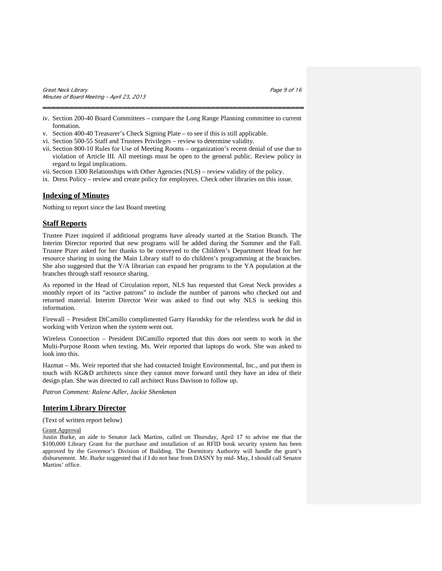iv. Section 200-40 Board Committees – compare the Long Range Planning committee to current formation.

\_\_\_\_\_\_\_\_\_\_\_\_\_\_\_\_\_\_\_\_\_\_\_\_\_\_\_\_\_\_\_\_\_\_\_\_\_\_\_\_\_\_\_\_\_\_\_\_\_\_\_\_\_\_\_\_\_\_\_

- v. Section 400-40 Treasurer's Check Signing Plate to see if this is still applicable.
- vi. Section 500-55 Staff and Trustees Privileges review to determine validity.
- vii. Section 800-10 Rules for Use of Meeting Rooms organization's recent denial of use due to violation of Article III. All meetings must be open to the general public. Review policy in regard to legal implications.
- vii. Section 1300 Relationships with Other Agencies (NLS) review validity of the policy.
- ix. Dress Policy review and create policy for employees. Check other libraries on this issue.

# **Indexing of Minutes**

Nothing to report since the last Board meeting

## **Staff Reports**

Trustee Pizer inquired if additional programs have already started at the Station Branch. The Interim Director reported that new programs will be added during the Summer and the Fall. Trustee Pizer asked for her thanks to be conveyed to the Children's Department Head for her resource sharing in using the Main Library staff to do children's programming at the branches. She also suggested that the Y/A librarian can expand her programs to the YA population at the branches through staff resource sharing.

As reported in the Head of Circulation report, NLS has requested that Great Neck provides a monthly report of its "active patrons" to include the number of patrons who checked out and returned material. Interim Director Weir was asked to find out why NLS is seeking this information.

Firewall – President DiCamillo complimented Garry Harodsky for the relentless work he did in working with Verizon when the system went out.

Wireless Connection – President DiCamillo reported that this does not seem to work in the Multi-Purpose Room when texting. Ms. Weir reported that laptops do work. She was asked to look into this.

Hazmat – Ms. Weir reported that she had contacted Insight Environmental, Inc., and put them in touch with KG&D architects since they cannot move forward until they have an idea of their design plan. She was directed to call architect Russ Davison to follow up.

*Patron Comment: Ralene Adler, Jackie Shenkman*

# **Interim Library Director**

(Text of written report below)

#### Grant Approval

Justin Burke, an aide to Senator Jack Martins, called on Thursday, April 17 to advise me that the \$100,000 Library Grant for the purchase and installation of an RFID book security system has been approved by the Governor's Division of Building. The Dormitory Authority will handle the grant's disbursement. Mr. Burke suggested that if I do not hear from DASNY by mid- May, I should call Senator Martins' office.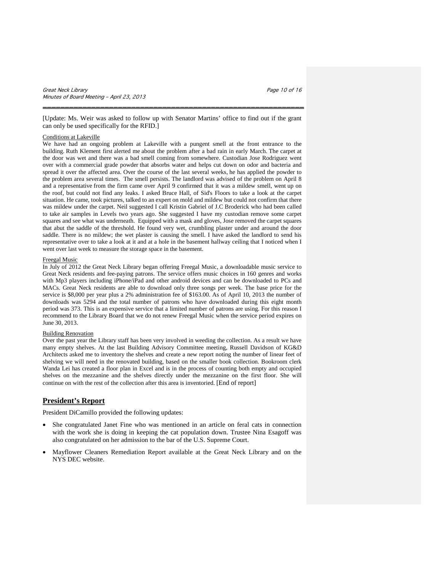[Update: Ms. Weir was asked to follow up with Senator Martins' office to find out if the grant can only be used specifically for the RFID.]

\_\_\_\_\_\_\_\_\_\_\_\_\_\_\_\_\_\_\_\_\_\_\_\_\_\_\_\_\_\_\_\_\_\_\_\_\_\_\_\_\_\_\_\_\_\_\_\_\_\_\_\_\_\_\_\_\_\_\_

#### Conditions at Lakeville

We have had an ongoing problem at Lakeville with a pungent smell at the front entrance to the building. Ruth Klement first alerted me about the problem after a bad rain in early March. The carpet at the door was wet and there was a bad smell coming from somewhere. Custodian Jose Rodriguez went over with a commercial grade powder that absorbs water and helps cut down on odor and bacteria and spread it over the affected area. Over the course of the last several weeks, he has applied the powder to the problem area several times. The smell persists. The landlord was advised of the problem on April 8 and a representative from the firm came over April 9 confirmed that it was a mildew smell, went up on the roof, but could not find any leaks. I asked Bruce Hall, of Sid's Floors to take a look at the carpet situation. He came, took pictures, talked to an expert on mold and mildew but could not confirm that there was mildew under the carpet. Neil suggested I call Kristin Gabriel of J.C Broderick who had been called to take air samples in Levels two years ago. She suggested I have my custodian remove some carpet squares and see what was underneath. Equipped with a mask and gloves, Jose removed the carpet squares that abut the saddle of the threshold. He found very wet, crumbling plaster under and around the door saddle. There is no mildew; the wet plaster is causing the smell. I have asked the landlord to send his representative over to take a look at it and at a hole in the basement hallway ceiling that I noticed when I went over last week to measure the storage space in the basement.

#### Freegal Music

In July of 2012 the Great Neck Library began offering Freegal Music, a downloadable music service to Great Neck residents and fee-paying patrons. The service offers music choices in 160 genres and works with Mp3 players including iPhone/iPad and other android devices and can be downloaded to PCs and MACs. Great Neck residents are able to download only three songs per week. The base price for the service is \$8,000 per year plus a 2% administration fee of \$163.00. As of April 10, 2013 the number of downloads was 5294 and the total number of patrons who have downloaded during this eight month period was 373. This is an expensive service that a limited number of patrons are using. For this reason I recommend to the Library Board that we do not renew Freegal Music when the service period expires on June 30, 2013.

#### **Building Renovation**

Over the past year the Library staff has been very involved in weeding the collection. As a result we have many empty shelves. At the last Building Advisory Committee meeting, Russell Davidson of KG&D Architects asked me to inventory the shelves and create a new report noting the number of linear feet of shelving we will need in the renovated building, based on the smaller book collection. Bookroom clerk Wanda Lei has created a floor plan in Excel and is in the process of counting both empty and occupied shelves on the mezzanine and the shelves directly under the mezzanine on the first floor. She will continue on with the rest of the collection after this area is inventoried. [End of report]

## **President's Report**

President DiCamillo provided the following updates:

- She congratulated Janet Fine who was mentioned in an article on feral cats in connection with the work she is doing in keeping the cat population down. Trustee Nina Esagoff was also congratulated on her admission to the bar of the U.S. Supreme Court.
- Mayflower Cleaners Remediation Report available at the Great Neck Library and on the NYS DEC website.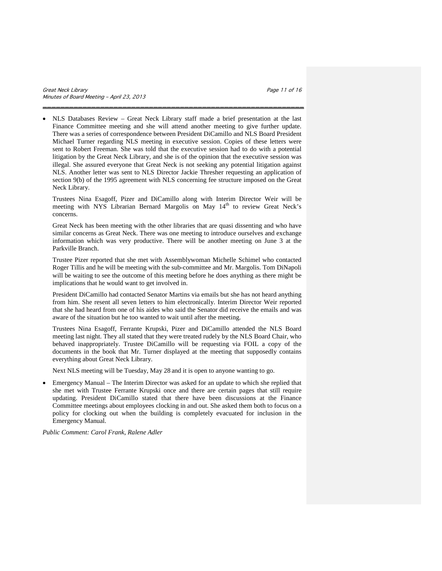• NLS Databases Review – Great Neck Library staff made a brief presentation at the last Finance Committee meeting and she will attend another meeting to give further update. There was a series of correspondence between President DiCamillo and NLS Board President Michael Turner regarding NLS meeting in executive session. Copies of these letters were sent to Robert Freeman. She was told that the executive session had to do with a potential litigation by the Great Neck Library, and she is of the opinion that the executive session was illegal. She assured everyone that Great Neck is not seeking any potential litigation against NLS. Another letter was sent to NLS Director Jackie Thresher requesting an application of section 9(b) of the 1995 agreement with NLS concerning fee structure imposed on the Great Neck Library.

\_\_\_\_\_\_\_\_\_\_\_\_\_\_\_\_\_\_\_\_\_\_\_\_\_\_\_\_\_\_\_\_\_\_\_\_\_\_\_\_\_\_\_\_\_\_\_\_\_\_\_\_\_\_\_\_\_\_\_

Trustees Nina Esagoff, Pizer and DiCamillo along with Interim Director Weir will be meeting with NYS Librarian Bernard Margolis on May 14<sup>th</sup> to review Great Neck's concerns.

Great Neck has been meeting with the other libraries that are quasi dissenting and who have similar concerns as Great Neck. There was one meeting to introduce ourselves and exchange information which was very productive. There will be another meeting on June 3 at the Parkville Branch.

Trustee Pizer reported that she met with Assemblywoman Michelle Schimel who contacted Roger Tillis and he will be meeting with the sub-committee and Mr. Margolis. Tom DiNapoli will be waiting to see the outcome of this meeting before he does anything as there might be implications that he would want to get involved in.

President DiCamillo had contacted Senator Martins via emails but she has not heard anything from him. She resent all seven letters to him electronically. Interim Director Weir reported that she had heard from one of his aides who said the Senator did receive the emails and was aware of the situation but he too wanted to wait until after the meeting.

Trustees Nina Esagoff, Ferrante Krupski, Pizer and DiCamillo attended the NLS Board meeting last night. They all stated that they were treated rudely by the NLS Board Chair, who behaved inappropriately. Trustee DiCamillo will be requesting via FOIL a copy of the documents in the book that Mr. Turner displayed at the meeting that supposedly contains everything about Great Neck Library.

Next NLS meeting will be Tuesday, May 28 and it is open to anyone wanting to go.

• Emergency Manual – The Interim Director was asked for an update to which she replied that she met with Trustee Ferrante Krupski once and there are certain pages that still require updating. President DiCamillo stated that there have been discussions at the Finance Committee meetings about employees clocking in and out. She asked them both to focus on a policy for clocking out when the building is completely evacuated for inclusion in the Emergency Manual.

*Public Comment: Carol Frank, Ralene Adler*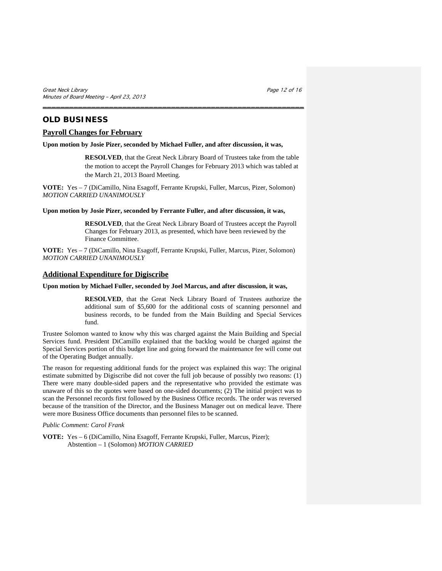# **OLD BUSINESS**

# **Payroll Changes for February**

## **Upon motion by Josie Pizer, seconded by Michael Fuller, and after discussion, it was,**

\_\_\_\_\_\_\_\_\_\_\_\_\_\_\_\_\_\_\_\_\_\_\_\_\_\_\_\_\_\_\_\_\_\_\_\_\_\_\_\_\_\_\_\_\_\_\_\_\_\_\_\_\_\_\_\_\_\_\_

**RESOLVED**, that the Great Neck Library Board of Trustees take from the table the motion to accept the Payroll Changes for February 2013 which was tabled at the March 21, 2013 Board Meeting.

**VOTE:** Yes – 7 (DiCamillo, Nina Esagoff, Ferrante Krupski, Fuller, Marcus, Pizer, Solomon) *MOTION CARRIED UNANIMOUSLY*

## **Upon motion by Josie Pizer, seconded by Ferrante Fuller, and after discussion, it was,**

**RESOLVED**, that the Great Neck Library Board of Trustees accept the Payroll Changes for February 2013, as presented, which have been reviewed by the Finance Committee.

**VOTE:** Yes – 7 (DiCamillo, Nina Esagoff, Ferrante Krupski, Fuller, Marcus, Pizer, Solomon) *MOTION CARRIED UNANIMOUSLY*

# **Additional Expenditure for Digiscribe**

# **Upon motion by Michael Fuller, seconded by Joel Marcus, and after discussion, it was,**

**RESOLVED**, that the Great Neck Library Board of Trustees authorize the additional sum of \$5,600 for the additional costs of scanning personnel and business records, to be funded from the Main Building and Special Services fund.

Trustee Solomon wanted to know why this was charged against the Main Building and Special Services fund. President DiCamillo explained that the backlog would be charged against the Special Services portion of this budget line and going forward the maintenance fee will come out of the Operating Budget annually.

The reason for requesting additional funds for the project was explained this way: The original estimate submitted by Digiscribe did not cover the full job because of possibly two reasons: (1) There were many double-sided papers and the representative who provided the estimate was unaware of this so the quotes were based on one-sided documents; (2) The initial project was to scan the Personnel records first followed by the Business Office records. The order was reversed because of the transition of the Director, and the Business Manager out on medical leave. There were more Business Office documents than personnel files to be scanned.

#### *Public Comment: Carol Frank*

**VOTE:** Yes – 6 (DiCamillo, Nina Esagoff, Ferrante Krupski, Fuller, Marcus, Pizer); Abstention – 1 (Solomon) *MOTION CARRIED*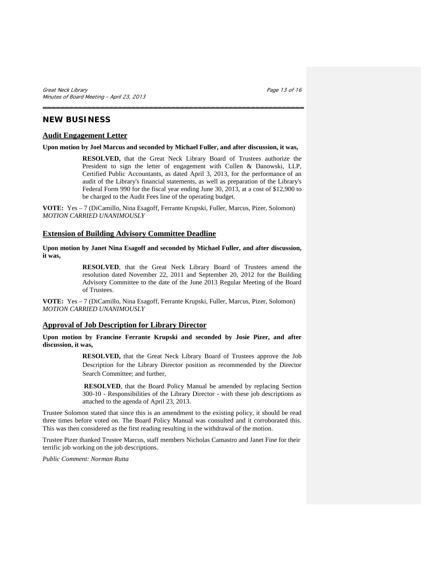# **NEW BUSINESS**

# **Audit Engagement Letter**

**Upon motion by Joel Marcus and seconded by Michael Fuller, and after discussion, it was,**

\_\_\_\_\_\_\_\_\_\_\_\_\_\_\_\_\_\_\_\_\_\_\_\_\_\_\_\_\_\_\_\_\_\_\_\_\_\_\_\_\_\_\_\_\_\_\_\_\_\_\_\_\_\_\_\_\_\_\_

**RESOLVED,** that the Great Neck Library Board of Trustees authorize the President to sign the letter of engagement with Cullen & Danowski, LLP, Certified Public Accountants, as dated April 3, 2013, for the performance of an audit of the Library's financial statements, as well as preparation of the Library's Federal Form 990 for the fiscal year ending June 30, 2013, at a cost of \$12,900 to be charged to the Audit Fees line of the operating budget.

**VOTE:** Yes – 7 (DiCamillo, Nina Esagoff, Ferrante Krupski, Fuller, Marcus, Pizer, Solomon) *MOTION CARRIED UNANIMOUSLY*

# **Extension of Building Advisory Committee Deadline**

**Upon motion by Janet Nina Esagoff and seconded by Michael Fuller, and after discussion, it was,**

> **RESOLVED**, that the Great Neck Library Board of Trustees amend the resolution dated November 22, 2011 and September 20, 2012 for the Building Advisory Committee to the date of the June 2013 Regular Meeting of the Board of Trustees.

**VOTE:** Yes – 7 (DiCamillo, Nina Esagoff, Ferrante Krupski, Fuller, Marcus, Pizer, Solomon) *MOTION CARRIED UNANIMOUSLY*

# **Approval of Job Description for Library Director**

**Upon motion by Francine Ferrante Krupski and seconded by Josie Pizer, and after discussion, it was,**

> **RESOLVED,** that the Great Neck Library Board of Trustees approve the Job Description for the Library Director position as recommended by the Director Search Committee; and further,

> **RESOLVED**, that the Board Policy Manual be amended by replacing Section 300-10 - Responsibilities of the Library Director - with these job descriptions as attached to the agenda of April 23, 2013.

Trustee Solomon stated that since this is an amendment to the existing policy, it should be read three times before voted on. The Board Policy Manual was consulted and it corroborated this. This was then considered as the first reading resulting in the withdrawal of the motion.

Trustee Pizer thanked Trustee Marcus, staff members Nicholas Camastro and Janet Fine for their terrific job working on the job descriptions.

*Public Comment: Norman Rutta*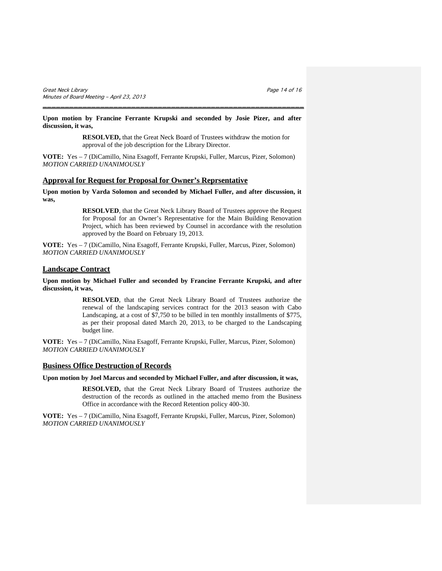**Upon motion by Francine Ferrante Krupski and seconded by Josie Pizer, and after discussion, it was,**

\_\_\_\_\_\_\_\_\_\_\_\_\_\_\_\_\_\_\_\_\_\_\_\_\_\_\_\_\_\_\_\_\_\_\_\_\_\_\_\_\_\_\_\_\_\_\_\_\_\_\_\_\_\_\_\_\_\_\_

**RESOLVED,** that the Great Neck Board of Trustees withdraw the motion for approval of the job description for the Library Director.

**VOTE:** Yes – 7 (DiCamillo, Nina Esagoff, Ferrante Krupski, Fuller, Marcus, Pizer, Solomon) *MOTION CARRIED UNANIMOUSLY*

# **Approval for Request for Proposal for Owner's Reprsentative**

**Upon motion by Varda Solomon and seconded by Michael Fuller, and after discussion, it was,**

> **RESOLVED**, that the Great Neck Library Board of Trustees approve the Request for Proposal for an Owner's Representative for the Main Building Renovation Project, which has been reviewed by Counsel in accordance with the resolution approved by the Board on February 19, 2013.

**VOTE:** Yes – 7 (DiCamillo, Nina Esagoff, Ferrante Krupski, Fuller, Marcus, Pizer, Solomon) *MOTION CARRIED UNANIMOUSLY*

# **Landscape Contract**

**Upon motion by Michael Fuller and seconded by Francine Ferrante Krupski, and after discussion, it was,**

> **RESOLVED**, that the Great Neck Library Board of Trustees authorize the renewal of the landscaping services contract for the 2013 season with Cabo Landscaping, at a cost of \$7,750 to be billed in ten monthly installments of \$775, as per their proposal dated March 20, 2013, to be charged to the Landscaping budget line.

**VOTE:** Yes – 7 (DiCamillo, Nina Esagoff, Ferrante Krupski, Fuller, Marcus, Pizer, Solomon) *MOTION CARRIED UNANIMOUSLY*

## **Business Office Destruction of Records**

**Upon motion by Joel Marcus and seconded by Michael Fuller, and after discussion, it was,**

**RESOLVED,** that the Great Neck Library Board of Trustees authorize the destruction of the records as outlined in the attached memo from the Business Office in accordance with the Record Retention policy 400-30.

**VOTE:** Yes – 7 (DiCamillo, Nina Esagoff, Ferrante Krupski, Fuller, Marcus, Pizer, Solomon) *MOTION CARRIED UNANIMOUSLY*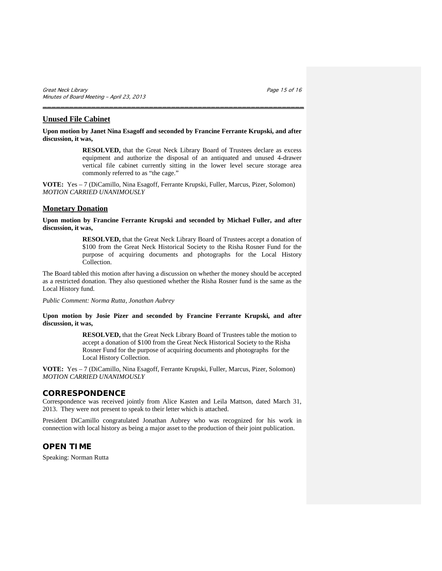# **Unused File Cabinet**

**Upon motion by Janet Nina Esagoff and seconded by Francine Ferrante Krupski, and after discussion, it was,**

\_\_\_\_\_\_\_\_\_\_\_\_\_\_\_\_\_\_\_\_\_\_\_\_\_\_\_\_\_\_\_\_\_\_\_\_\_\_\_\_\_\_\_\_\_\_\_\_\_\_\_\_\_\_\_\_\_\_\_

**RESOLVED,** that the Great Neck Library Board of Trustees declare as excess equipment and authorize the disposal of an antiquated and unused 4-drawer vertical file cabinet currently sitting in the lower level secure storage area commonly referred to as "the cage."

**VOTE:** Yes – 7 (DiCamillo, Nina Esagoff, Ferrante Krupski, Fuller, Marcus, Pizer, Solomon) *MOTION CARRIED UNANIMOUSLY*

# **Monetary Donation**

**Upon motion by Francine Ferrante Krupski and seconded by Michael Fuller, and after discussion, it was,**

> **RESOLVED,** that the Great Neck Library Board of Trustees accept a donation of \$100 from the Great Neck Historical Society to the Risha Rosner Fund for the purpose of acquiring documents and photographs for the Local History Collection.

The Board tabled this motion after having a discussion on whether the money should be accepted as a restricted donation. They also questioned whether the Risha Rosner fund is the same as the Local History fund.

*Public Comment: Norma Rutta, Jonathan Aubrey*

## **Upon motion by Josie Pizer and seconded by Francine Ferrante Krupski, and after discussion, it was,**

**RESOLVED,** that the Great Neck Library Board of Trustees table the motion to accept a donation of \$100 from the Great Neck Historical Society to the Risha Rosner Fund for the purpose of acquiring documents and photographs for the Local History Collection.

**VOTE:** Yes – 7 (DiCamillo, Nina Esagoff, Ferrante Krupski, Fuller, Marcus, Pizer, Solomon) *MOTION CARRIED UNANIMOUSLY*

# **CORRESPONDENCE**

Correspondence was received jointly from Alice Kasten and Leila Mattson, dated March 31, 2013. They were not present to speak to their letter which is attached.

President DiCamillo congratulated Jonathan Aubrey who was recognized for his work in connection with local history as being a major asset to the production of their joint publication.

# **OPEN TIME**

Speaking: Norman Rutta